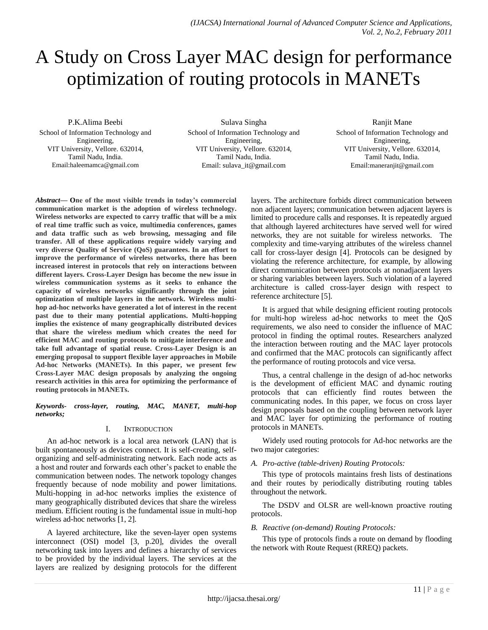# A Study on Cross Layer MAC design for performance optimization of routing protocols in MANETs

P.K.Alima Beebi

School of Information Technology and Engineering, VIT University, Vellore. 632014, Tamil Nadu, India. Email:haleemamca@gmail.com

Sulava Singha School of Information Technology and Engineering, VIT University, Vellore. 632014, Tamil Nadu, India. Email: sulava\_it@gmail.com

#### Ranjit Mane

School of Information Technology and Engineering, VIT University, Vellore. 632014, Tamil Nadu, India. Email:maneranjit@gmail.com

*Abstract***— One of the most visible trends in today's commercial communication market is the adoption of wireless technology. Wireless networks are expected to carry traffic that will be a mix of real time traffic such as voice, multimedia conferences, games and data traffic such as web browsing, messaging and file transfer. All of these applications require widely varying and very diverse Quality of Service (QoS) guarantees. In an effort to improve the performance of wireless networks, there has been increased interest in protocols that rely on interactions between different layers. Cross-Layer Design has become the new issue in wireless communication systems as it seeks to enhance the capacity of wireless networks significantly through the joint optimization of multiple layers in the network. Wireless multihop ad-hoc networks have generated a lot of interest in the recent past due to their many potential applications. Multi-hopping implies the existence of many geographically distributed devices that share the wireless medium which creates the need for efficient MAC and routing protocols to mitigate interference and take full advantage of spatial reuse. Cross-Layer Design is an emerging proposal to support flexible layer approaches in Mobile Ad-hoc Networks (MANETs). In this paper, we present few Cross-Layer MAC design proposals by analyzing the ongoing research activities in this area for optimizing the performance of routing protocols in MANETs.**

#### *Keywords- cross-layer, routing, MAC, MANET, multi-hop networks;*

## I. INTRODUCTION

An ad-hoc network is a local area network (LAN) that is built spontaneously as devices connect. It is self-creating, selforganizing and self-administrating network. Each node acts as a host and router and forwards each other's packet to enable the communication between nodes. The network topology changes frequently because of node mobility and power limitations. Multi-hopping in ad-hoc networks implies the existence of many geographically distributed devices that share the wireless medium. Efficient routing is the fundamental issue in multi-hop wireless ad-hoc networks [1, 2].

A layered architecture, like the seven-layer open systems interconnect (OSI) model [3, p.20], divides the overall networking task into layers and defines a hierarchy of services to be provided by the individual layers. The services at the layers are realized by designing protocols for the different layers. The architecture forbids direct communication between non adjacent layers; communication between adjacent layers is limited to procedure calls and responses. It is repeatedly argued that although layered architectures have served well for wired networks, they are not suitable for wireless networks. The complexity and time-varying attributes of the wireless channel call for cross-layer design [4]. Protocols can be designed by violating the reference architecture, for example, by allowing direct communication between protocols at nonadjacent layers or sharing variables between layers. Such violation of a layered architecture is called cross-layer design with respect to reference architecture [5].

It is argued that while designing efficient routing protocols for multi-hop wireless ad-hoc networks to meet the QoS requirements, we also need to consider the influence of MAC protocol in finding the optimal routes. Researchers analyzed the interaction between routing and the MAC layer protocols and confirmed that the MAC protocols can significantly affect the performance of routing protocols and vice versa.

Thus, a central challenge in the design of ad-hoc networks is the development of efficient MAC and dynamic routing protocols that can efficiently find routes between the communicating nodes. In this paper, we focus on cross layer design proposals based on the coupling between network layer and MAC layer for optimizing the performance of routing protocols in MANETs.

Widely used routing protocols for Ad-hoc networks are the two major categories:

## *A. Pro-active (table-driven) Routing Protocols:*

This type of protocols maintains fresh lists of destinations and their routes by periodically distributing routing tables throughout the network.

The DSDV and OLSR are well-known proactive routing protocols.

## *B. Reactive (on-demand) Routing Protocols:*

This type of protocols finds a route on demand by flooding the network with Route Request (RREQ) packets.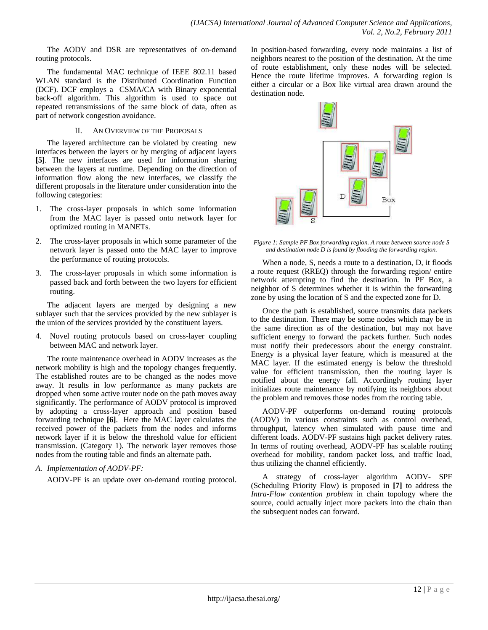The AODV and DSR are representatives of on-demand routing protocols.

The fundamental MAC technique of IEEE 802.11 based WLAN standard is the Distributed Coordination Function (DCF). DCF employs a CSMA/CA with Binary exponential back-off algorithm. This algorithm is used to space out repeated retransmissions of the same block of data, often as part of network congestion avoidance.

## II. AN OVERVIEW OF THE PROPOSALS

The layered architecture can be violated by creating new interfaces between the layers or by merging of adjacent layers **[5]**. The new interfaces are used for information sharing between the layers at runtime. Depending on the direction of information flow along the new interfaces, we classify the different proposals in the literature under consideration into the following categories:

- 1. The cross-layer proposals in which some information from the MAC layer is passed onto network layer for optimized routing in MANETs.
- 2. The cross-layer proposals in which some parameter of the network layer is passed onto the MAC layer to improve the performance of routing protocols.
- 3. The cross-layer proposals in which some information is passed back and forth between the two layers for efficient routing.

The adjacent layers are merged by designing a new sublayer such that the services provided by the new sublayer is the union of the services provided by the constituent layers.

4. Novel routing protocols based on cross-layer coupling between MAC and network layer.

The route maintenance overhead in AODV increases as the network mobility is high and the topology changes frequently. The established routes are to be changed as the nodes move away. It results in low performance as many packets are dropped when some active router node on the path moves away significantly. The performance of AODV protocol is improved by adopting a cross-layer approach and position based forwarding technique **[6]**. Here the MAC layer calculates the received power of the packets from the nodes and informs network layer if it is below the threshold value for efficient transmission. (Category 1). The network layer removes those nodes from the routing table and finds an alternate path.

## *A. Implementation of AODV-PF:*

AODV-PF is an update over on-demand routing protocol.

In position-based forwarding, every node maintains a list of neighbors nearest to the position of the destination. At the time of route establishment, only these nodes will be selected. Hence the route lifetime improves. A forwarding region is either a circular or a Box like virtual area drawn around the destination node.



*Figure 1: Sample PF Box forwarding region. A route between source node S and destination node D is found by flooding the forwarding region.*

When a node, S, needs a route to a destination, D, it floods a route request (RREQ) through the forwarding region/ entire network attempting to find the destination. In PF Box, a neighbor of S determines whether it is within the forwarding zone by using the location of S and the expected zone for D.

Once the path is established, source transmits data packets to the destination. There may be some nodes which may be in the same direction as of the destination, but may not have sufficient energy to forward the packets further. Such nodes must notify their predecessors about the energy constraint. Energy is a physical layer feature, which is measured at the MAC layer. If the estimated energy is below the threshold value for efficient transmission, then the routing layer is notified about the energy fall. Accordingly routing layer initializes route maintenance by notifying its neighbors about the problem and removes those nodes from the routing table.

AODV-PF outperforms on-demand routing protocols (AODV) in various constraints such as control overhead, throughput, latency when simulated with pause time and different loads. AODV-PF sustains high packet delivery rates. In terms of routing overhead, AODV-PF has scalable routing overhead for mobility, random packet loss, and traffic load, thus utilizing the channel efficiently.

A strategy of cross-layer algorithm AODV- SPF (Scheduling Priority Flow) is proposed in **[7]** to address the *Intra-Flow contention problem* in chain topology where the source, could actually inject more packets into the chain than the subsequent nodes can forward.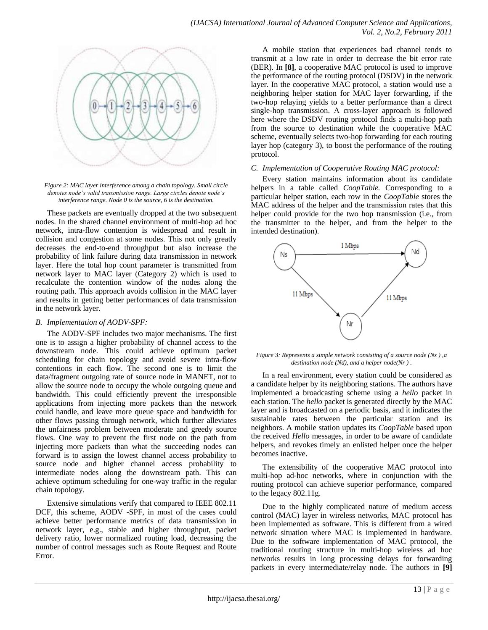

*Figure 2: MAC layer interference among a chain topology. Small circle denotes node's valid transmission range. Large circles denote node's interference range. Node 0 is the source, 6 is the destination.*

These packets are eventually dropped at the two subsequent nodes. In the shared channel environment of multi-hop ad hoc network, intra-flow contention is widespread and result in collision and congestion at some nodes. This not only greatly decreases the end-to-end throughput but also increase the probability of link failure during data transmission in network layer. Here the total hop count parameter is transmitted from network layer to MAC layer (Category 2) which is used to recalculate the contention window of the nodes along the routing path. This approach avoids collision in the MAC layer and results in getting better performances of data transmission in the network layer.

#### *B. Implementation of AODV-SPF:*

The AODV-SPF includes two major mechanisms. The first one is to assign a higher probability of channel access to the downstream node. This could achieve optimum packet scheduling for chain topology and avoid severe intra-flow contentions in each flow. The second one is to limit the data/fragment outgoing rate of source node in MANET, not to allow the source node to occupy the whole outgoing queue and bandwidth. This could efficiently prevent the irresponsible applications from injecting more packets than the network could handle, and leave more queue space and bandwidth for other flows passing through network, which further alleviates the unfairness problem between moderate and greedy source flows. One way to prevent the first node on the path from injecting more packets than what the succeeding nodes can forward is to assign the lowest channel access probability to source node and higher channel access probability to intermediate nodes along the downstream path. This can achieve optimum scheduling for one-way traffic in the regular chain topology.

Extensive simulations verify that compared to IEEE 802.11 DCF, this scheme, AODV -SPF, in most of the cases could achieve better performance metrics of data transmission in network layer, e.g., stable and higher throughput, packet delivery ratio, lower normalized routing load, decreasing the number of control messages such as Route Request and Route Error.

A mobile station that experiences bad channel tends to transmit at a low rate in order to decrease the bit error rate (BER). In **[8]**, a cooperative MAC protocol is used to improve the performance of the routing protocol (DSDV) in the network layer. In the cooperative MAC protocol, a station would use a neighboring helper station for MAC layer forwarding, if the two-hop relaying yields to a better performance than a direct single-hop transmission. A cross-layer approach is followed here where the DSDV routing protocol finds a multi-hop path from the source to destination while the cooperative MAC scheme, eventually selects two-hop forwarding for each routing layer hop (category 3), to boost the performance of the routing protocol.

## *C. Implementation of Cooperative Routing MAC protocol:*

Every station maintains information about its candidate helpers in a table called *CoopTable.* Corresponding to a particular helper station, each row in the *CoopTable* stores the MAC address of the helper and the transmission rates that this helper could provide for the two hop transmission (i.e., from the transmitter to the helper, and from the helper to the intended destination).



*Figure 3: Represents a simple network consisting of a source node (Ns ) ,a destination node (Nd), and a helper node(Nr ) .* 

In a real environment, every station could be considered as a candidate helper by its neighboring stations. The authors have implemented a broadcasting scheme using a *hello* packet in each station. The *hello* packet is generated directly by the MAC layer and is broadcasted on a periodic basis, and it indicates the sustainable rates between the particular station and its neighbors. A mobile station updates its *CoopTable* based upon the received *Hello* messages, in order to be aware of candidate helpers, and revokes timely an enlisted helper once the helper becomes inactive.

The extensibility of the cooperative MAC protocol into multi-hop ad-hoc networks, where in conjunction with the routing protocol can achieve superior performance, compared to the legacy 802.11g.

Due to the highly complicated nature of medium access control (MAC) layer in wireless networks, MAC protocol has been implemented as software. This is different from a wired network situation where MAC is implemented in hardware. Due to the software implementation of MAC protocol, the traditional routing structure in multi-hop wireless ad hoc networks results in long processing delays for forwarding packets in every intermediate/relay node. The authors in **[9]**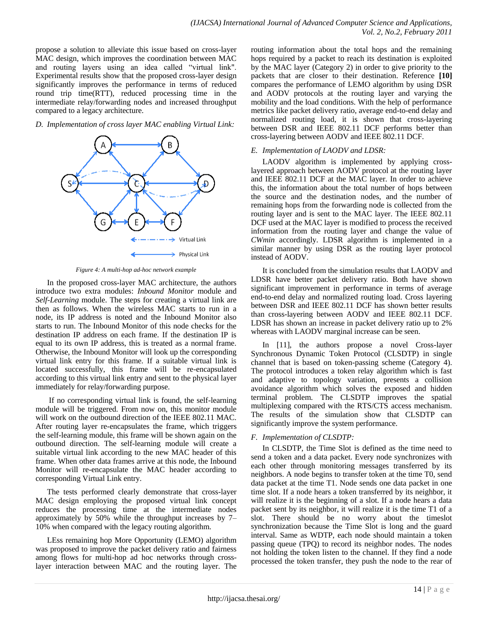propose a solution to alleviate this issue based on cross-layer MAC design, which improves the coordination between MAC and routing layers using an idea called "virtual link". Experimental results show that the proposed cross-layer design significantly improves the performance in terms of reduced round trip time(RTT), reduced processing time in the intermediate relay/forwarding nodes and increased throughput compared to a legacy architecture.

*D. Implementation of cross layer MAC enabling Virtual Link:*



*Figure 4: A multi-hop ad-hoc network example*

In the proposed cross-layer MAC architecture, the authors introduce two extra modules: *Inbound Monitor* module and *Self-Learning* module. The steps for creating a virtual link are then as follows. When the wireless MAC starts to run in a node, its IP address is noted and the Inbound Monitor also starts to run. The Inbound Monitor of this node checks for the destination IP address on each frame. If the destination IP is equal to its own IP address, this is treated as a normal frame. Otherwise, the Inbound Monitor will look up the corresponding virtual link entry for this frame. If a suitable virtual link is located successfully, this frame will be re-encapsulated according to this virtual link entry and sent to the physical layer immediately for relay/forwarding purpose.

If no corresponding virtual link is found, the self-learning module will be triggered. From now on, this monitor module will work on the outbound direction of the IEEE 802.11 MAC. After routing layer re-encapsulates the frame, which triggers the self-learning module, this frame will be shown again on the outbound direction. The self-learning module will create a suitable virtual link according to the new MAC header of this frame. When other data frames arrive at this node, the Inbound Monitor will re-encapsulate the MAC header according to corresponding Virtual Link entry.

The tests performed clearly demonstrate that cross-layer MAC design employing the proposed virtual link concept reduces the processing time at the intermediate nodes approximately by 50% while the throughput increases by 7– 10% when compared with the legacy routing algorithm.

LEss remaining hop More Opportunity (LEMO) algorithm was proposed to improve the packet delivery ratio and fairness among flows for multi-hop ad hoc networks through crosslayer interaction between MAC and the routing layer. The

routing information about the total hops and the remaining hops required by a packet to reach its destination is exploited by the MAC layer (Category 2) in order to give priority to the packets that are closer to their destination. Reference **[10]** compares the performance of LEMO algorithm by using DSR and AODV protocols at the routing layer and varying the mobility and the load conditions. With the help of performance metrics like packet delivery ratio, average end-to-end delay and normalized routing load, it is shown that cross-layering between DSR and IEEE 802.11 DCF performs better than cross-layering between AODV and IEEE 802.11 DCF.

## *E. Implementation of LAODV and LDSR:*

LAODV algorithm is implemented by applying crosslayered approach between AODV protocol at the routing layer and IEEE 802.11 DCF at the MAC layer. In order to achieve this, the information about the total number of hops between the source and the destination nodes, and the number of remaining hops from the forwarding node is collected from the routing layer and is sent to the MAC layer. The IEEE 802.11 DCF used at the MAC layer is modified to process the received information from the routing layer and change the value of *CWmin* accordingly. LDSR algorithm is implemented in a similar manner by using DSR as the routing layer protocol instead of AODV.

It is concluded from the simulation results that LAODV and LDSR have better packet delivery ratio. Both have shown significant improvement in performance in terms of average end-to-end delay and normalized routing load. Cross layering between DSR and IEEE 802.11 DCF has shown better results than cross-layering between AODV and IEEE 802.11 DCF. LDSR has shown an increase in packet delivery ratio up to 2% whereas with LAODV marginal increase can be seen.

In [11], the authors propose a novel Cross-layer Synchronous Dynamic Token Protocol (CLSDTP) in single channel that is based on token-passing scheme (Category 4). The protocol introduces a token relay algorithm which is fast and adaptive to topology variation, presents a collision avoidance algorithm which solves the exposed and hidden terminal problem. The CLSDTP improves the spatial multiplexing compared with the RTS/CTS access mechanism. The results of the simulation show that CLSDTP can significantly improve the system performance.

# *F. Implementation of CLSDTP:*

In CLSDTP, the Time Slot is defined as the time need to send a token and a data packet. Every node synchronizes with each other through monitoring messages transferred by its neighbors. A node begins to transfer token at the time T0, send data packet at the time T1. Node sends one data packet in one time slot. If a node hears a token transferred by its neighbor, it will realize it is the beginning of a slot. If a node hears a data packet sent by its neighbor, it will realize it is the time T1 of a slot. There should be no worry about the timeslot synchronization because the Time Slot is long and the guard interval. Same as WDTP, each node should maintain a token passing queue (TPQ) to record its neighbor nodes. The nodes not holding the token listen to the channel. If they find a node processed the token transfer, they push the node to the rear of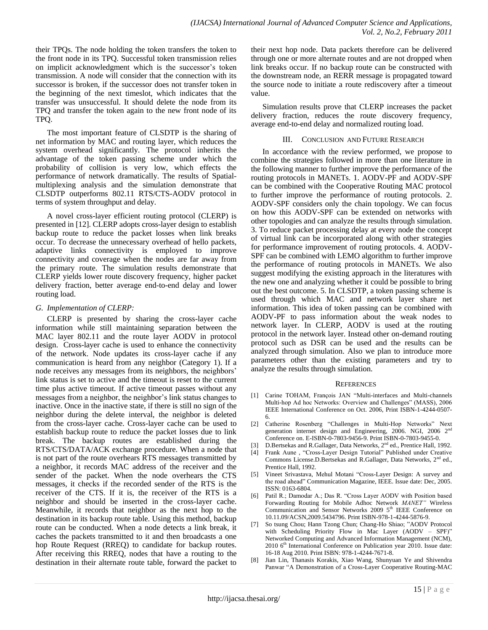their TPQs. The node holding the token transfers the token to the front node in its TPQ. Successful token transmission relies on implicit acknowledgment which is the successor's token transmission. A node will consider that the connection with its successor is broken, if the successor does not transfer token in the beginning of the next timeslot, which indicates that the transfer was unsuccessful. It should delete the node from its TPQ and transfer the token again to the new front node of its TPQ.

The most important feature of CLSDTP is the sharing of net information by MAC and routing layer, which reduces the system overhead significantly. The protocol inherits the advantage of the token passing scheme under which the probability of collision is very low, which effects the performance of network dramatically. The results of Spatialmultiplexing analysis and the simulation demonstrate that CLSDTP outperforms 802.11 RTS/CTS-AODV protocol in terms of system throughput and delay.

A novel cross-layer efficient routing protocol (CLERP) is presented in [12]. CLERP adopts cross-layer design to establish backup route to reduce the packet losses when link breaks occur. To decrease the unnecessary overhead of hello packets, adaptive links connectivity is employed to improve connectivity and coverage when the nodes are far away from the primary route. The simulation results demonstrate that CLERP yields lower route discovery frequency, higher packet delivery fraction, better average end-to-end delay and lower routing load.

## *G. Implementation of CLERP:*

CLERP is presented by sharing the cross-layer cache information while still maintaining separation between the MAC layer 802.11 and the route layer AODV in protocol design. Cross-layer cache is used to enhance the connectivity of the network. Node updates its cross-layer cache if any communication is heard from any neighbor (Category 1). If a node receives any messages from its neighbors, the neighbors' link status is set to active and the timeout is reset to the current time plus active timeout. If active timeout passes without any messages from a neighbor, the neighbor's link status changes to inactive. Once in the inactive state, if there is still no sign of the neighbor during the delete interval, the neighbor is deleted from the cross-layer cache. Cross-layer cache can be used to establish backup route to reduce the packet losses due to link break. The backup routes are established during the RTS/CTS/DATA/ACK exchange procedure. When a node that is not part of the route overhears RTS messages transmitted by a neighbor, it records MAC address of the receiver and the sender of the packet. When the node overhears the CTS messages, it checks if the recorded sender of the RTS is the receiver of the CTS. If it is, the receiver of the RTS is a neighbor and should be inserted in the cross-layer cache. Meanwhile, it records that neighbor as the next hop to the destination in its backup route table. Using this method, backup route can be conducted. When a node detects a link break, it caches the packets transmitted to it and then broadcasts a one hop Route Request (RREQ) to candidate for backup routes. After receiving this RREQ, nodes that have a routing to the destination in their alternate route table, forward the packet to

their next hop node. Data packets therefore can be delivered through one or more alternate routes and are not dropped when link breaks occur. If no backup route can be constructed with the downstream node, an RERR message is propagated toward the source node to initiate a route rediscovery after a timeout value.

Simulation results prove that CLERP increases the packet delivery fraction, reduces the route discovery frequency, average end-to-end delay and normalized routing load.

## III. CONCLUSION AND FUTURE RESEARCH

In accordance with the review performed, we propose to combine the strategies followed in more than one literature in the following manner to further improve the performance of the routing protocols in MANETs. 1. AODV-PF and AODV-SPF can be combined with the Cooperative Routing MAC protocol to further improve the performance of routing protocols. 2. AODV-SPF considers only the chain topology. We can focus on how this AODV-SPF can be extended on networks with other topologies and can analyze the results through simulation. 3. To reduce packet processing delay at every node the concept of virtual link can be incorporated along with other strategies for performance improvement of routing protocols. 4. AODV-SPF can be combined with LEMO algorithm to further improve the performance of routing protocols in MANETs. We also suggest modifying the existing approach in the literatures with the new one and analyzing whether it could be possible to bring out the best outcome. 5. In CLSDTP, a token passing scheme is used through which MAC and network layer share net information. This idea of token passing can be combined with AODV-PF to pass information about the weak nodes to network layer. In CLERP, AODV is used at the routing protocol in the network layer. Instead other on-demand routing protocol such as DSR can be used and the results can be analyzed through simulation. Also we plan to introduce more parameters other than the existing parameters and try to analyze the results through simulation.

#### **REFERENCES**

- [1] Carine TOHAM, François JAN "Multi-interfaces and Multi-channels Multi-hop Ad hoc Networks: Overview and Challenges" (MASS), 2006 IEEE International Conference on Oct. 2006, Print ISBN-1-4244-0507- 6.
- [2] Catherine Rosenberg "Challenges in Multi-Hop Networks" Next generation internet design and Engineering, 2006. NGI, 2006 2<sup>nd</sup> Conference on. E-ISBN-0-7803-9456-9. Print ISBN-0-7803-9455-0.
- [3] D.Bertsekas and R.Gallager, Data Networks, 2<sup>nd</sup> ed., Prentice Hall, 1992.
- [4] Frank Aune , "Cross-Layer Design Tutorial" Published under Creative Commons License.D.Bertsekas and R.Gallager, Data Networks, 2<sup>nd</sup> ed., Prentice Hall, 1992.
- [5] Vineet Srivastava, Mehul Motani "Cross-Layer Design: A survey and the road ahead" Communication Magazine, IEEE. Issue date: Dec, 2005. ISSN: 0163-6804.
- [6] Patil R.; Damodar A.; Das R. "Cross Layer AODV with Position based Forwarding Routing for Mobile Adhoc Network *MANET"* Wireless Communication and Sensor Networks  $2009\,5^{\text{th}}$  IEEE Conference on 10.11.09/ACSN,2009.5434796. Print ISBN-978-1-4244-5876-9.
- [7] So tsung Chou; Hann Tzong Chun; Chang-Ho Shiao; "AODV Protocol with Scheduling Priority Flow in Mac Layer (AODV – SPF)" Networked Computing and Advanced Information Management (NCM), 2010 6<sup>th</sup> International Conference on Publication year 2010. Issue date: 16-18 Aug 2010. Print ISBN: 978-1-4244-7671-8.
- [8] Jian Lin, Thanasis Korakis, Xiao Wang, Shunyuan Ye and Shivendra Panwar "A Demonstration of a Cross-Layer Cooperative Routing-MAC